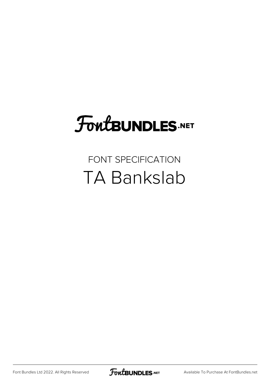## **FoutBUNDLES.NET**

#### FONT SPECIFICATION TA Bankslab

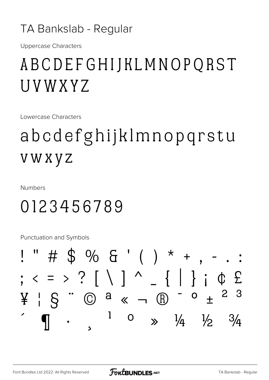#### TA Bankslab - Regular

**Uppercase Characters** 

#### ABCDEFGHIJKLMNOPQRST UVWXYZ

Lowercase Characters

## abcdefghijklmnopqrstu **VWXYZ**

**Numbers** 

#### 0123456789

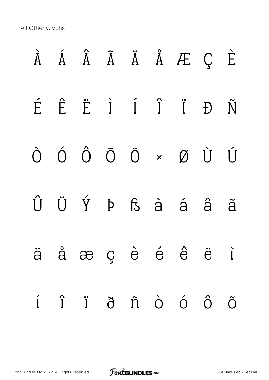|  |  |  | $\tilde{A}$ $\tilde{A}$ $\tilde{A}$ $\tilde{A}$ $\tilde{A}$ $\tilde{A}$ $\tilde{E}$ $C$ $\tilde{E}$            |  |
|--|--|--|----------------------------------------------------------------------------------------------------------------|--|
|  |  |  | É Ê Ë I Í Ï Đ Ñ                                                                                                |  |
|  |  |  | $\begin{matrix} \dot O & \dot O & \dot O & \ddot O & \ddot O & \times & \cal O & \dot U & \dot U \end{matrix}$ |  |
|  |  |  | Û Ü Ý Þ ß à á â ã                                                                                              |  |
|  |  |  | äåæçèéêëì                                                                                                      |  |
|  |  |  | í î ï ð ñ ò ó ô õ                                                                                              |  |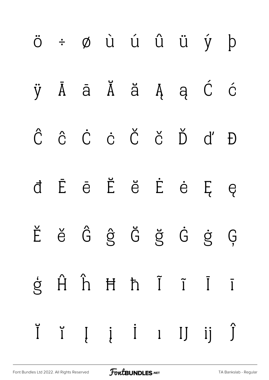|  |  |  | Ĭ ĭ Į į İ ı IJ ij Ĵ                                                                   |  |
|--|--|--|---------------------------------------------------------------------------------------|--|
|  |  |  | $\dot{g}$ $\hat{H}$ $\hat{h}$ $\dot{H}$ $\dot{h}$ $\tilde{I}$ $\tilde{I}$ $\tilde{I}$ |  |
|  |  |  | Ěě Ĝĝ Ğ ğ Ġ ġ Ģ                                                                       |  |
|  |  |  | d Ē ē Ĕ ĕ Ė ė Ę ę                                                                     |  |
|  |  |  | Ĉ ĉ Ċ ċ Č č Ď ď Đ                                                                     |  |
|  |  |  | ÿ Ā ā Ă ă Ą ą Ć ć                                                                     |  |
|  |  |  | ö ÷ ø ù ú û ü ý þ                                                                     |  |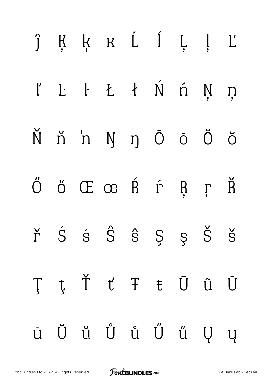|  | ĵĶķ k Ĺ ĺ Ļ ļ Ľ                                                                                           |  |  |  |
|--|-----------------------------------------------------------------------------------------------------------|--|--|--|
|  | l' L· L· Ł ł Ń ń Ņ ņ                                                                                      |  |  |  |
|  | Ň ň 'n Ŋ ŋ Ō ō Ŏ ŏ                                                                                        |  |  |  |
|  | Ő ő Œ œ Ŕ ŕ Ŗ ŗ Ř                                                                                         |  |  |  |
|  | $\check{r}$ $\acute{S}$ $\acute{S}$ $\hat{S}$ $\acute{S}$ $\acute{S}$ $\acute{S}$ $\acute{S}$ $\acute{S}$ |  |  |  |
|  | ŢţŤťŦŧŨũŪ                                                                                                 |  |  |  |
|  | ū Ŭ ŭ Ů ů Ű ű Ų ų                                                                                         |  |  |  |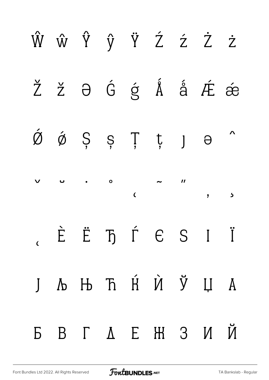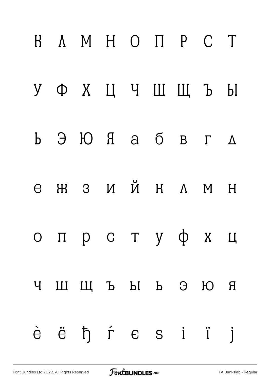|          | H A M H O N P C T |  |  |  |
|----------|-------------------|--|--|--|
|          | УФХЦЧШЩЪЫ         |  |  |  |
|          | Ь ЭЮЯ абвгд       |  |  |  |
| $\Theta$ | $H$ 3 И Й Н Л М Н |  |  |  |
|          | опрстуфхц         |  |  |  |
|          | ЧШЩЪЫ ЬЭЮЯ        |  |  |  |
|          | è ë ħ ŕ e s i ï j |  |  |  |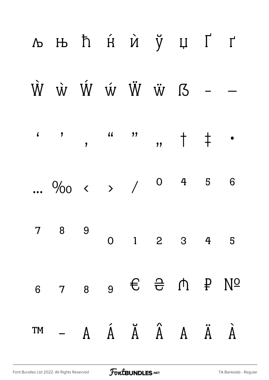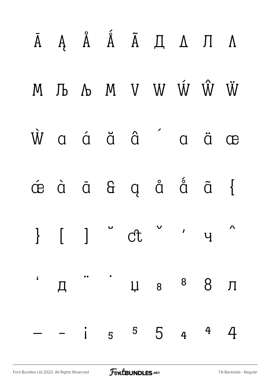|  |         | $\bar{A}$ $A$ $\hat{A}$ $\tilde{A}$ $\tilde{A}$ $\tilde{A}$ $\tilde{A}$ $\tilde{A}$ $\tilde{A}$                |                          |                    |
|--|---------|----------------------------------------------------------------------------------------------------------------|--------------------------|--------------------|
|  |         | $M \quad Jb \quad \Lambda \quad M \quad V \quad W \quad \hat{W} \quad \hat{W} \quad \hat{W}$                   |                          |                    |
|  |         | $\dot{W}$ a á ä â a ä æ                                                                                        |                          |                    |
|  |         | $\phi$ à $\bar{a}$ $\theta$ $\phi$ $\dot{a}$ $\ddot{a}$ $\ddot{a}$                                             |                          |                    |
|  |         | $\left[\begin{array}{ccc} 1 & 1 & 1 \end{array}\right]$ of $\left[\begin{array}{ccc} 1 & 1 \end{array}\right]$ |                          | $\mathbf{\Lambda}$ |
|  |         | , д п ј д з $8$ 8 $\pi$                                                                                        |                          |                    |
|  | $- i 5$ |                                                                                                                | $5\quad 5\quad 4\quad 4$ |                    |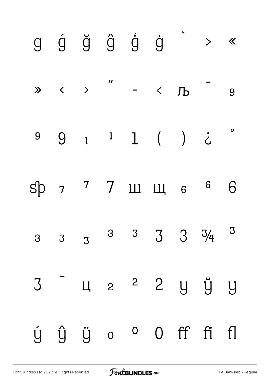|  |  | $g \circ g \circ g \circ g \circ g$ > «                       |  |  |
|--|--|---------------------------------------------------------------|--|--|
|  |  | $\gg$ < > " - < $\sqrt{D}$ 9                                  |  |  |
|  |  | $99111$ () i                                                  |  |  |
|  |  | sp 7 7 11 11 6 6 6                                            |  |  |
|  |  | 3 3 3 <sup>3</sup> 3 3 3 $3\frac{1}{4}$ 3                     |  |  |
|  |  | 3 4 2 <sup>2</sup> 2 y y y                                    |  |  |
|  |  | $\acute{y}$ $\acute{y}$ $\ddot{y}$ $\circ$ $\circ$ 0 ff fi fl |  |  |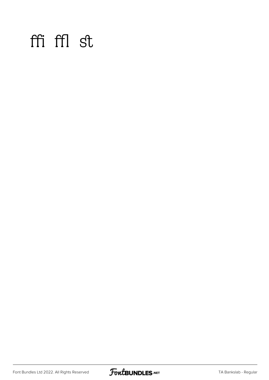#### ffi ffl st

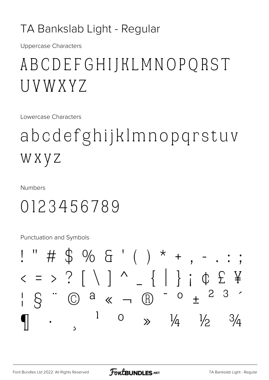#### TA Bankslab Light - Regular

**Uppercase Characters** 

### ABCDEFGHIJKLMNOPQRST U V W X Y Z

Lowercase Characters

## abcdefghijklmnopgrstuv W X Y Z

**Numbers** 

#### 0123456789

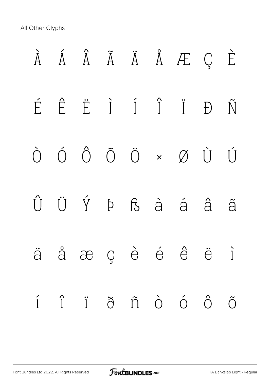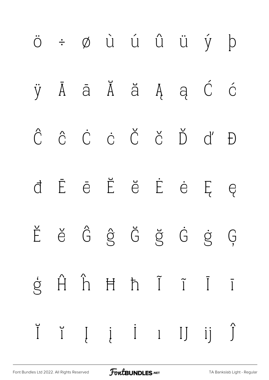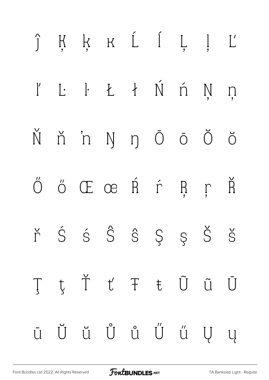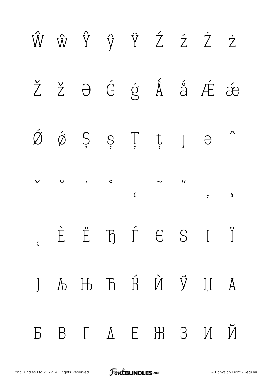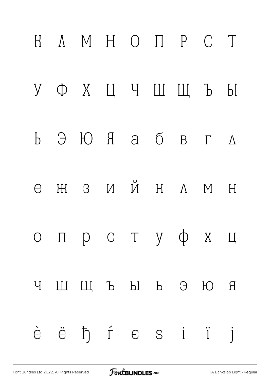

[Font Bundles Ltd 2022. All Rights Reserved](https://fontbundles.net/) **FoutBUNDLES.NET** [TA Bankslab Light - Regular](https://fontbundles.net/)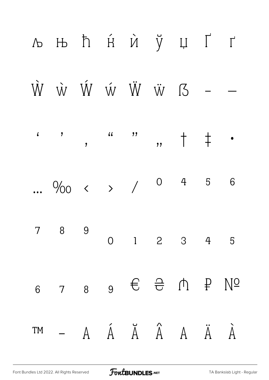

FoutBUNDLES.NET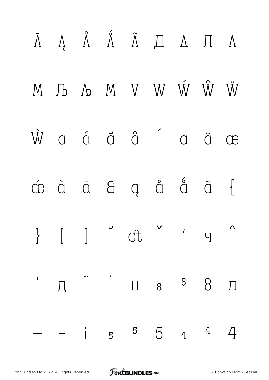

[Font Bundles Ltd 2022. All Rights Reserved](https://fontbundles.net/) **FoutBUNDLES.NET** [TA Bankslab Light - Regular](https://fontbundles.net/)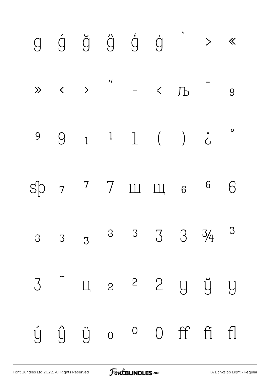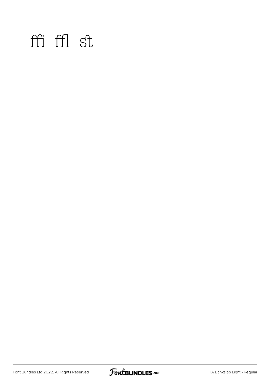#### ffi ffl st

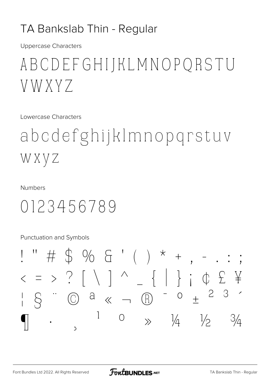#### TA Bankslab Thin - Regular

**Uppercase Characters** 

### ABCDEFGHIJKLMNOPORSTU VWXYZ

Lowercase Characters

abodefghijkImnopqrstuv WXYZ

**Numbers** 

#### 0123456789

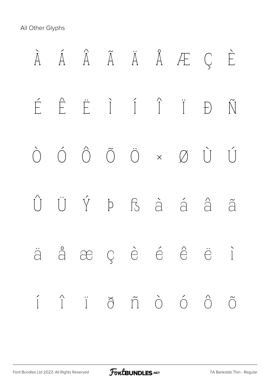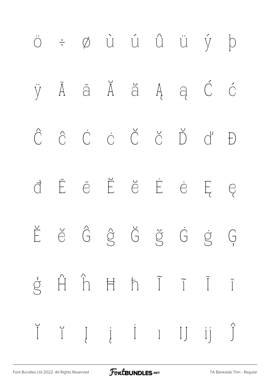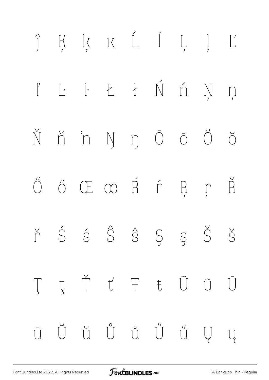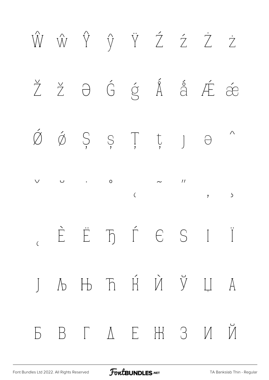

[Font Bundles Ltd 2022. All Rights Reserved](https://fontbundles.net/) **FoutBUNDLES.NET** [TA Bankslab Thin - Regular](https://fontbundles.net/)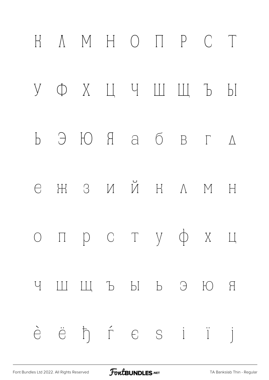

FoutBUNDLES.NET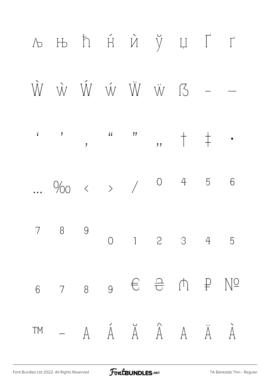

FoutBUNDLES.NET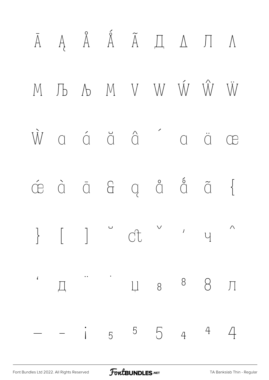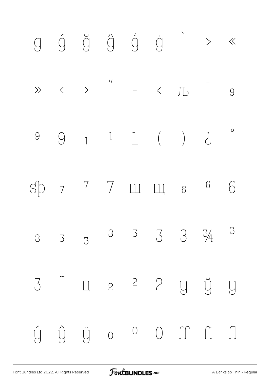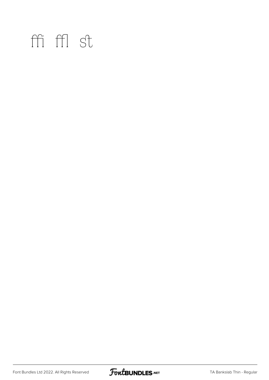#### ffi ffl st

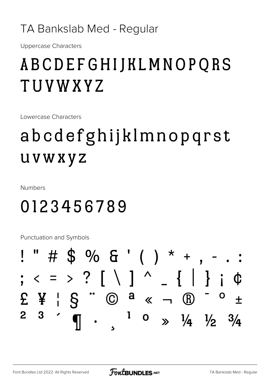#### TA Bankslab Med - Regular

**Uppercase Characters** 

### ABCDEFGHIJKLMNOPQRS TUVWXYZ

Lowercase Characters

## abcdefghijklmnopqrst **UVWXYZ**

**Numbers** 

### 0123456789

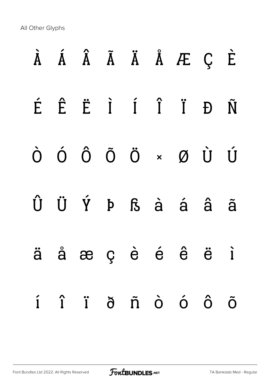|  |  |  | À Á Â Ã Ä Ä Å Æ Ç È                                                                                                   |  |
|--|--|--|-----------------------------------------------------------------------------------------------------------------------|--|
|  |  |  | É Ê Ë I Í Î Ï Đ Ñ                                                                                                     |  |
|  |  |  | $\begin{matrix} \dot O & \dot O & \dot O & \ddot O & \ddot \circ & \times & \text{\O} & \dot U & \dot U \end{matrix}$ |  |
|  |  |  | Û Ü Ý Þ ß à á â ã                                                                                                     |  |
|  |  |  | ä å æ ç è é ê ë ì                                                                                                     |  |
|  |  |  | í î ï ð ñ ò ó ô õ                                                                                                     |  |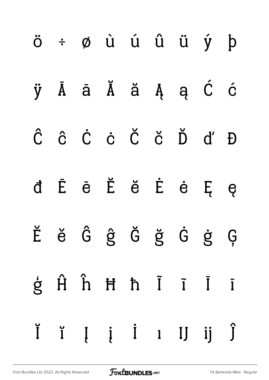|  |  |  | Ĭ ĭ Į į İ ı IJ ij Ĵ |  |
|--|--|--|---------------------|--|
|  |  |  | ģ Ĥ ĥ Ħ ħ Ĩ Ĩ Ī     |  |
|  |  |  | Ěě Ĝĝ Ğ ğ Ġ ġ Ģ     |  |
|  |  |  | d Ē ē Ĕ ĕ Ė ė Ę ę   |  |
|  |  |  | Ĉ ĉ Ċ ċ Č č Ď ď Đ   |  |
|  |  |  | ÿ Ā ā Ă ă Ą ą Ć ć   |  |
|  |  |  | ö ÷ ø ù ú û ü ý þ   |  |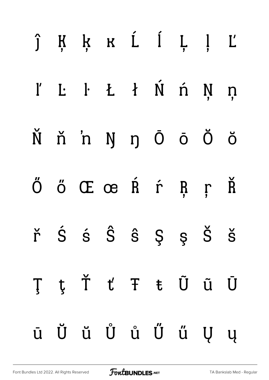|  | ĵĶķ K Í Ļ ļ Ľ        |  |  |  |
|--|----------------------|--|--|--|
|  | I' L· L· L T Ń ń Ņ ņ |  |  |  |
|  | Ňň'n ŊŋŌōÖŏ          |  |  |  |
|  | Ő ő Œ œ Ŕ ŕ Ŗ ŗ Ř    |  |  |  |
|  | ř Ś ś Ŝ ŝ Ş ş Š š    |  |  |  |
|  | ŢţŤťŦŧŨũŪ            |  |  |  |
|  | ū Ŭ ŭ Ů ů Ű ű Ų ų    |  |  |  |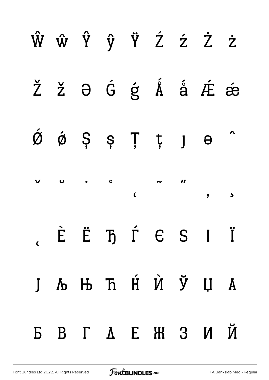|  |  |  | ŴŵŶŷŸŹźŻż                                                                                                                                                                           |  |
|--|--|--|-------------------------------------------------------------------------------------------------------------------------------------------------------------------------------------|--|
|  |  |  | Ž ž $\theta$ Ĝ ģ Á å Æ æ                                                                                                                                                            |  |
|  |  |  | $\acute{\mathfrak{G}}$ $\acute{\mathfrak{G}}$ $\acute{\mathfrak{S}}$ $\acute{\mathfrak{S}}$ $\ddot{\mathfrak{F}}$ $\ddot{\mathfrak{t}}$ $\ddot{\mathfrak{g}}$ $\ddot{\mathfrak{m}}$ |  |
|  |  |  |                                                                                                                                                                                     |  |
|  |  |  | $\epsilon$ $\dot{E}$ $\ddot{E}$ $\ddot{D}$ $\dot{\Gamma}$ $\epsilon$ S I $\ddot{I}$                                                                                                 |  |
|  |  |  | Ј Љ Њ Ћ Ќ Ѝ Ў Џ А                                                                                                                                                                   |  |
|  |  |  | БВГДЕЖЗИЙ                                                                                                                                                                           |  |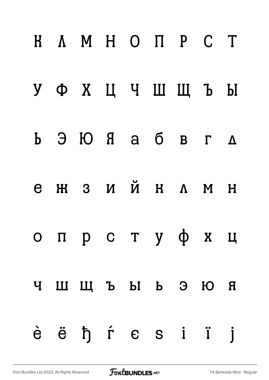|  | H A M H O H P C T |  |  |  |
|--|-------------------|--|--|--|
|  | УФХЦЧШЩЪЫ         |  |  |  |
|  | Ь Э Ю Я а б в г д |  |  |  |
|  | ежзийн лмн        |  |  |  |
|  | опрстуфхц         |  |  |  |
|  | ЧШЩЪЫ Ь ЭЮЯ       |  |  |  |
|  | èë ħ ŕ e s i ï j  |  |  |  |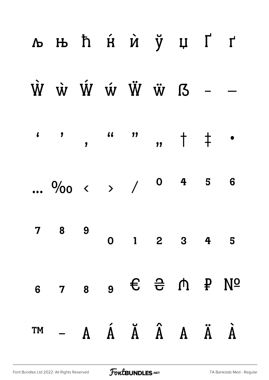|    | љњ ћ ќ ѝ ў џ Ґ ґ                                                                                           |  |  |                         |  |
|----|------------------------------------------------------------------------------------------------------------|--|--|-------------------------|--|
|    | $\dot{W}$ $\dot{W}$ $\dot{W}$ $\dot{W}$ $\ddot{W}$ $\ddot{W}$ $I$ $I$ $-$                                  |  |  |                         |  |
|    |                                                                                                            |  |  |                         |  |
|    | $\frac{0}{00}$ ( ) / 0 4 5 6                                                                               |  |  |                         |  |
|    | 7 8 9                                                                                                      |  |  | $0 \t1 \t2 \t3 \t4 \t5$ |  |
| 6  | $7 \quad 8 \quad 9 \quad \in \quad \frac{\triangle}{\triangle} \quad \cap \quad P \quad N^{\underline{0}}$ |  |  |                         |  |
| TM |                                                                                                            |  |  |                         |  |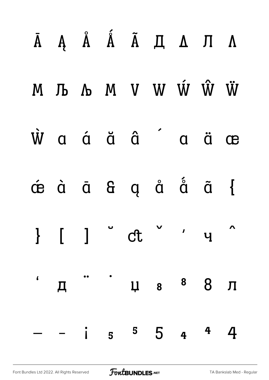|  |             | $\bar{A}$ $A$ $\hat{A}$ $\tilde{A}$ $\tilde{A}$ $B$ $\tilde{A}$ $A$ $B$ |                          |                    |
|--|-------------|-------------------------------------------------------------------------|--------------------------|--------------------|
|  |             | M J A M V W W Ŵ W                                                       |                          |                    |
|  |             | $\dot{W}$ a á ä â á ä æ                                                 |                          |                    |
|  |             | déà di di qui di di di                                                  |                          |                    |
|  |             |                                                                         |                          | $\mathbf{\Lambda}$ |
|  |             | "Д" Ча <sup>8</sup> 8 Л                                                 |                          |                    |
|  | $\dot{1}$ 5 |                                                                         | $5\quad 5\quad 4\quad 4$ |                    |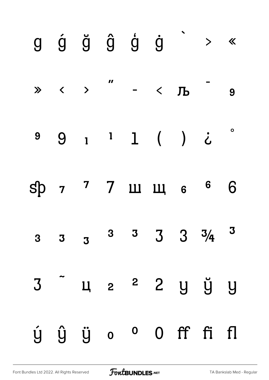|                         |  | $g \circ g \circ g \circ g \circ g$ > « |  |  |
|-------------------------|--|-----------------------------------------|--|--|
|                         |  | $\gg$ ( ) " - ( ) - 9                   |  |  |
|                         |  | 99111()                                 |  |  |
|                         |  | sp 7 7 11 11 6 6 6                      |  |  |
| $\overline{\mathbf{3}}$ |  | $3 \t 3 \t 3 \t 3 \t 3 \t 3 \t 4 \t 3$  |  |  |
|                         |  | 3 4 2 2 2 y y y                         |  |  |
|                         |  | ý ŷ ÿ o º O ff fi fl                    |  |  |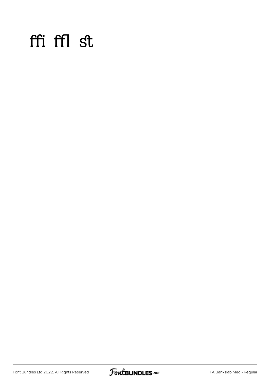#### ffi ffl st

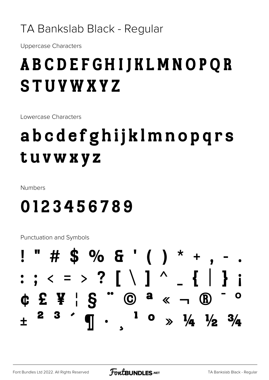#### TA Bankslab Black - Regular

**Uppercase Characters** 

### **ABCDEFGHIJKLMNOPQR STUVWXYZ**

Lowercase Characters

## abcdefghijklmnopqrs tuvwxyz

Numbers

#### 0123456789

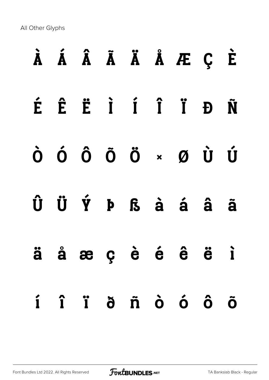|  |  |  | À Á Â Ã Ä Ä Å Æ Ç È                                                                              |  |
|--|--|--|--------------------------------------------------------------------------------------------------|--|
|  |  |  | É Ê Ë I Í Î Ï Đ Ñ                                                                                |  |
|  |  |  | ÒÓÔÕÖרÙÚ                                                                                         |  |
|  |  |  | $\hat{U}$ $\ddot{U}$ $\acute{Y}$ $P$ $S$ $\dot{a}$ $\acute{a}$ $\acute{a}$ $\ddot{a}$ $\ddot{a}$ |  |
|  |  |  | ä å æ ç è é ê ë ì                                                                                |  |
|  |  |  | í î ï ð ñ ò ó ô õ                                                                                |  |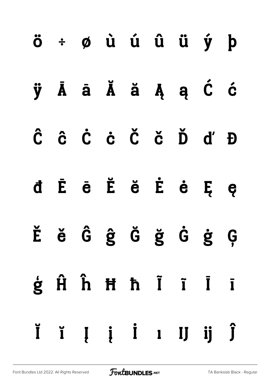|  | ö ÷ ø ù ú û ü ý þ |  |  |  |
|--|-------------------|--|--|--|
|  | ÿĀā Ă ă Ą ą Ć ć   |  |  |  |
|  | Ĉ ĉ Ċ ċ Č č Ď ď Đ |  |  |  |
|  | d Ē ē Ĕ ĕ Ė ė Ę ę |  |  |  |
|  | Ěě ĜĝĞ ğ Ġ ġ Ģ    |  |  |  |
|  | ģĤĥĦħĨĩĪī         |  |  |  |
|  | ĬĭĮį İ I IJ ij Ĵ  |  |  |  |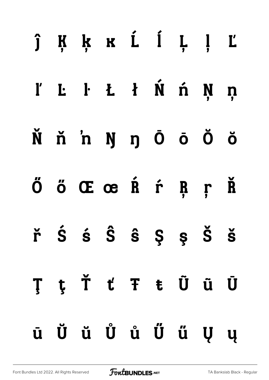|  | ĵĶķ kí ĺ Ļ ļ Ľ                                                                                |  |  |  |
|--|-----------------------------------------------------------------------------------------------|--|--|--|
|  | l' L· Lt Ń ń Ņ ņ                                                                              |  |  |  |
|  | Ňň'n ŊŋŌōŎŏ                                                                                   |  |  |  |
|  | Ő ő Œ œ Ŕ ŕ Ŗ ŗ Ř                                                                             |  |  |  |
|  | $\check{r}$ $\acute{S}$ $\acute{S}$ $\hat{S}$ $\acute{S}$ $\acute{S}$ $\acute{S}$ $\acute{S}$ |  |  |  |
|  | ŢţŤťŦŧŨũŪ                                                                                     |  |  |  |
|  | ū Ŭ ŭ Ů ů Ű ű Ų ų                                                                             |  |  |  |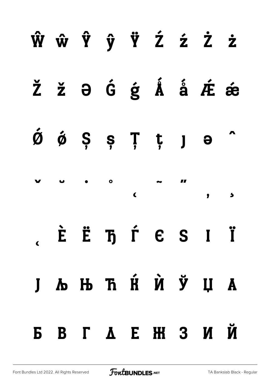|  |  | ŴŵŶŷŸŹźŻż                                                                                                                                                     |  |                          |
|--|--|---------------------------------------------------------------------------------------------------------------------------------------------------------------|--|--------------------------|
|  |  | Ž ž $\theta$ Ĝ ģ Å å Æ ǽ                                                                                                                                      |  |                          |
|  |  | $\acute{\mathfrak{G}}$ $\acute{\mathfrak{G}}$ $\acute{\mathfrak{S}}$ $\acute{\mathfrak{S}}$ $\ddot{\mathfrak{F}}$ $\ddot{\mathfrak{F}}$ $\ddot{\mathfrak{g}}$ |  | $\overline{\phantom{a}}$ |
|  |  |                                                                                                                                                               |  |                          |
|  |  | $\lambda$ $\hat{E}$ $\hat{E}$ $\hbar$ $\hat{\Gamma}$ $\hbar$ $\hat{E}$ $S$ $I$ $\hat{I}$                                                                      |  |                          |
|  |  | Ј Љ Њ Ћ Ќ Ѝ Ў Џ А                                                                                                                                             |  |                          |
|  |  | БВГАЕЖЗИЙ                                                                                                                                                     |  |                          |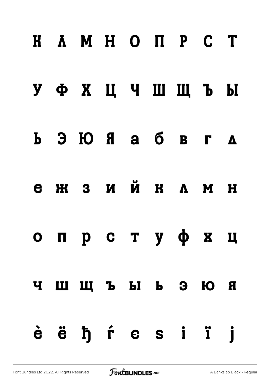|   | <b>H A M H O N P C T</b>                                        |  |  |  |
|---|-----------------------------------------------------------------|--|--|--|
|   | УФХЦЧШЩЪЫ                                                       |  |  |  |
|   | $\bf{b}$ 3 $\bf{b}$ 8 $\bf{c}$ 8 $\bf{d}$ 8 $\bf{c}$ 4 $\bf{d}$ |  |  |  |
| e | ЖЗИЙ КЛМ Н                                                      |  |  |  |
|   | опрстуф хц                                                      |  |  |  |
|   | чшщъы ь эюя                                                     |  |  |  |
|   | èë ħŕe si ï j                                                   |  |  |  |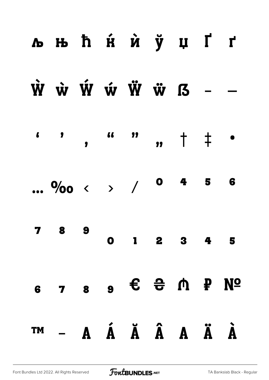#### **льћя̀й ў цҐґ**  $\dot{W}$   $\dot{W}$   $\dot{W}$   $\dot{W}$   $\ddot{W}$   $\ddot{W}$   $I$   $I$ **46** 99  $\pmb{\zeta}$  $\overline{\mathbf{z}}$  $\overline{\phantom{a}}$ ,  $\overline{\phantom{a}}$   $\overline{\phantom{a}}$   $\overline{\phantom{a}}$   $\overline{\phantom{a}}$  $\bullet$  $0<sub>4</sub>$ 5 6 ...  $9/00 \leftarrow$  > / 8 9  $\mathbf 7$  $2 \quad 3 \quad 4 \quad 5$  $\mathbf{1}$  $\bullet$ 6 7 8 9 € <del>2</del> ∩ P Nº  $-$  A Á Ä Á Ä Ä À **TM**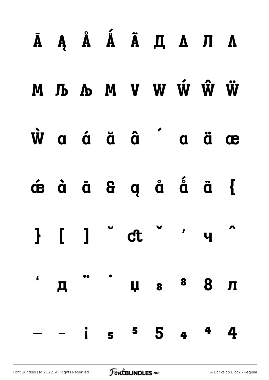|  |  | ĀĄ Å Ã Ã Д Д Л Л                                                                                                                                                                                                                 |  |  |
|--|--|----------------------------------------------------------------------------------------------------------------------------------------------------------------------------------------------------------------------------------|--|--|
|  |  | М Љ Љ М V W Ŵ Ŵ Ѿ                                                                                                                                                                                                                |  |  |
|  |  | $\dot{W}$ a á ă â $\ddot{a}$ â $\ddot{a}$ a ä æ                                                                                                                                                                                  |  |  |
|  |  | dé di di di di di chi                                                                                                                                                                                                            |  |  |
|  |  | $\frac{1}{2}$ $\left[ \begin{array}{ccc} 1 & ^{0} & c t & ^{0} & c t \\ 1 & 0 & 0 & c t & ^{0} \end{array} \right]$                                                                                                              |  |  |
|  |  | , д. чаза для на ница на ница на верходительно в полня на наших полня на наших полня на наших в такет на наших<br>В полня на наших полня на наших в полня на наших в полня на полня на полня на полня на полня на полня на полня |  |  |
|  |  | $- i$ 5 $5$ 4 $4$ 4                                                                                                                                                                                                              |  |  |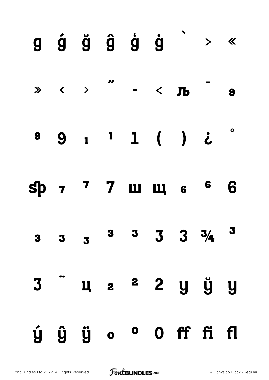|                         |  | $g$ $\acute{g}$ $\ddot{g}$ $\acute{g}$ $\dot{g}$ $\ddot{g}$ $\times$ «                                                                                                                                                                                                                                           |  |   |
|-------------------------|--|------------------------------------------------------------------------------------------------------------------------------------------------------------------------------------------------------------------------------------------------------------------------------------------------------------------|--|---|
|                         |  | $\mathbb{R} \times$ $\mathbb{R}$ , $\mathbb{R}$ , $\mathbb{R}$ , $\mathbb{R}$ , $\mathbb{R}$ , $\mathbb{R}$ , $\mathbb{R}$ , $\mathbb{R}$ , $\mathbb{R}$ , $\mathbb{R}$ , $\mathbb{R}$ , $\mathbb{R}$ , $\mathbb{R}$ , $\mathbb{R}$ , $\mathbb{R}$ , $\mathbb{R}$ , $\mathbb{R}$ , $\mathbb{R}$ , $\mathbb{R}$ , |  |   |
|                         |  | 99111) i                                                                                                                                                                                                                                                                                                         |  |   |
|                         |  | sp 7 7 2 3 3 4 5 6                                                                                                                                                                                                                                                                                               |  | 6 |
| $\overline{\mathbf{3}}$ |  | $3 \quad 3 \quad 3 \quad 3 \quad 3 \quad 3 \quad 4 \quad 3$                                                                                                                                                                                                                                                      |  |   |
|                         |  | 3 ц 2 2 у ў у                                                                                                                                                                                                                                                                                                    |  |   |
|                         |  | ý ŷ ÿ o <sup>o</sup> O ff fi fl                                                                                                                                                                                                                                                                                  |  |   |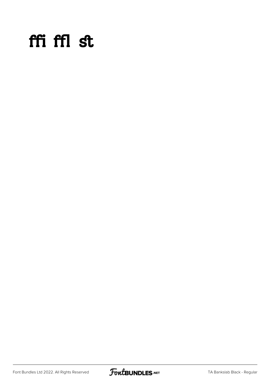#### ffi ffl st

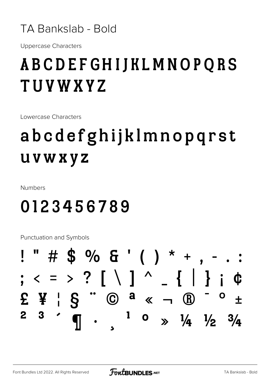

**Uppercase Characters** 

#### **ABCDEFGHIJKLMNOPQRS TUVWXYZ**

Lowercase Characters

## abcdefghijklmnopqrst **UVWXYZ**

**Numbers** 

#### 0123456789

|  |  |  |  |  | $!$ " # \$ % & ' ( ) * + , - . :                                                    |  |  |
|--|--|--|--|--|-------------------------------------------------------------------------------------|--|--|
|  |  |  |  |  | ; $\langle$ = > ? [ \ ] ^ _ {   } ; $\Phi$                                          |  |  |
|  |  |  |  |  | $E \nvert F \rvert S$ " $\bigcirc$ a $\kappa$ $\neg$ $\bigcirc$ $\pm$               |  |  |
|  |  |  |  |  | 2 3 $\cdot$ $\frac{1}{1}$ 0 $\frac{1}{2}$ $\frac{1}{4}$ $\frac{1}{2}$ $\frac{3}{4}$ |  |  |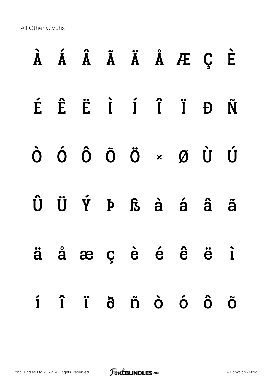|  |  |  | À Á Â Ã Ä Ä Å Æ Ç È                                                                                                       |             |
|--|--|--|---------------------------------------------------------------------------------------------------------------------------|-------------|
|  |  |  | É Ê Ë I Í Î Ï Đ Ñ                                                                                                         |             |
|  |  |  | $\begin{matrix} \dot{O} & \dot{O} & \dot{O} & \ddot{O} & \dot{O} & \times & \mathcal{O} & \dot{U} & \dot{U} \end{matrix}$ |             |
|  |  |  | Û Ü Ý Þ ß à á â ã                                                                                                         |             |
|  |  |  | ä å æ ç è é ê ë ì                                                                                                         |             |
|  |  |  | í î ï ð ñ ò ó ô                                                                                                           | $\tilde{O}$ |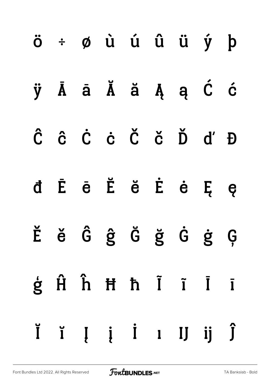|  | ö ÷ ø ù ú û ü ý þ   |  |  |  |
|--|---------------------|--|--|--|
|  | ÿĀā Ă ă Ą ą Ć ć     |  |  |  |
|  | Ĉ ĉ Ċ ċ Č č Ď ď Đ   |  |  |  |
|  | d Ē ē Ĕ ĕ Ė ė Ę ę   |  |  |  |
|  | Ěě Ĝĝ Ğ ğ Ġ ġ Ģ     |  |  |  |
|  | ģĤĥĦħĨĩĪī           |  |  |  |
|  | Ĭ ĭ Į į İ ı IJ ij Ĵ |  |  |  |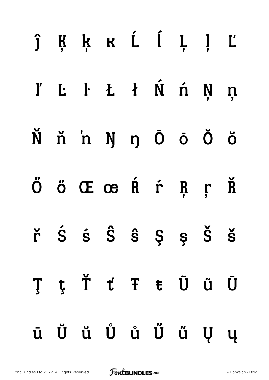|  | ĵĶķ k Ĺ ĺ Ļ ļ Ľ                                                                               |  |  |  |
|--|-----------------------------------------------------------------------------------------------|--|--|--|
|  | l' L· L· Li Ń ń Ņ ņ                                                                           |  |  |  |
|  | Ňň'n ŊŋŌōÖŏ                                                                                   |  |  |  |
|  | Ő ő Œ œ Ŕ ŕ Ŗ ŗ Ř                                                                             |  |  |  |
|  | $\check{r}$ $\acute{S}$ $\acute{S}$ $\hat{S}$ $\acute{S}$ $\acute{S}$ $\acute{S}$ $\acute{S}$ |  |  |  |
|  | ŢţŤťŦŧŨũŪ                                                                                     |  |  |  |
|  | ū Ŭ ŭ Ů ů Ű ű Ų ų                                                                             |  |  |  |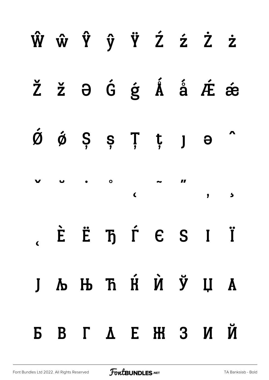|  |  |  | ŴŵŶŷŸŹźŻż                                                                                                                                                   |  |
|--|--|--|-------------------------------------------------------------------------------------------------------------------------------------------------------------|--|
|  |  |  | Ž ž $\theta$ Ĝ ģ Å å Æ ǽ                                                                                                                                    |  |
|  |  |  | $\acute{\text{o}}$ $\acute{\text{o}}$ $\acute{\text{s}}$ $\acute{\text{s}}$ $\ddot{\text{r}}$ $\acute{\text{r}}$ $\ddot{\text{p}}$ $\ddot{\text{o}}$ $\sim$ |  |
|  |  |  |                                                                                                                                                             |  |
|  |  |  | EË Tj É SI Ï                                                                                                                                                |  |
|  |  |  | Ј Љ Њ Ћ Ќ Ѝ Ў Џ А                                                                                                                                           |  |
|  |  |  | БВГДЕЖЗИЙ                                                                                                                                                   |  |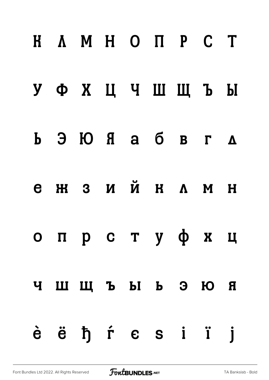|             | <b>H A M H O N P C T</b>                                                                                                                                    |  |  |  |
|-------------|-------------------------------------------------------------------------------------------------------------------------------------------------------------|--|--|--|
|             | УФХЦЧШЩЪЫ                                                                                                                                                   |  |  |  |
|             | $\mathbf{b}$ $\mathbf{c}$ $\mathbf{d}$ $\mathbf{d}$ $\mathbf{d}$ $\mathbf{d}$ $\mathbf{d}$ $\mathbf{d}$ $\mathbf{d}$ $\mathbf{d}$ $\mathbf{d}$ $\mathbf{d}$ |  |  |  |
| $\mathbf e$ | ЖЗИЙ КЛМ Н                                                                                                                                                  |  |  |  |
|             | опрстуфхц                                                                                                                                                   |  |  |  |
|             | ЧШЩЪЫ ЬЭЮЯ                                                                                                                                                  |  |  |  |
|             | èë ħŕ c s i ï j                                                                                                                                             |  |  |  |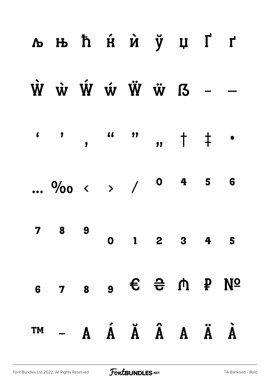| <b>льћя́й ў цҐґ</b>                                                                                 |  |  |                         |  |
|-----------------------------------------------------------------------------------------------------|--|--|-------------------------|--|
| $\dot{W}$ $\dot{W}$ $\dot{W}$ $\dot{W}$ $\ddot{W}$ $\ddot{W}$ $I$ $I$ $-$                           |  |  |                         |  |
|                                                                                                     |  |  |                         |  |
| $\frac{0}{00}$ ( ) / 0 4 5 6                                                                        |  |  |                         |  |
| 7 8 9                                                                                               |  |  | $0 \t1 \t2 \t3 \t4 \t5$ |  |
| $5$ 7 $8$ $9$ $6$ $7$ $9$ $10$ $10$ $10$                                                            |  |  |                         |  |
| $T^{M} - A \quad \acute{A} \quad \acute{A} \quad \acute{A} \quad A \quad \acute{A} \quad \acute{A}$ |  |  |                         |  |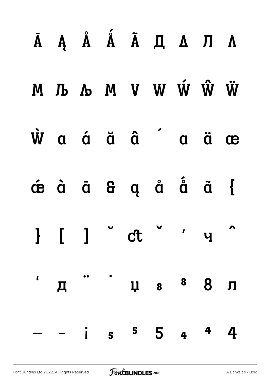|  |  | $\bar{A}$ А $\hat{A}$ А $\tilde{A}$ А $\tilde{A}$ А $\tilde{A}$ А $\tilde{A}$                                                                                           |  |  |
|--|--|-------------------------------------------------------------------------------------------------------------------------------------------------------------------------|--|--|
|  |  | M Љ Љ М V W Ŵ Ŵ Ѿ                                                                                                                                                       |  |  |
|  |  | $\dot{W}$ a á ä â a ä æ                                                                                                                                                 |  |  |
|  |  | $\overrightarrow{a}$ $\overrightarrow{a}$ $\overrightarrow{a}$ $\overrightarrow{b}$ $\overrightarrow{a}$ $\overrightarrow{c}$ $\overrightarrow{a}$ $\overrightarrow{b}$ |  |  |
|  |  | } [ ] ct ' 4                                                                                                                                                            |  |  |
|  |  | "Д"Ча <sup>8</sup> 8 Л                                                                                                                                                  |  |  |
|  |  | $-$ i $5$ $5$ $4$ $4$ $4$                                                                                                                                               |  |  |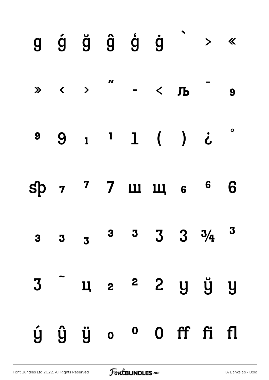|  |  | $g \circ g \circ g \circ g \circ g$ > «                                                                                                                                                                                                                                                                                                                                                                          |  |                          |
|--|--|------------------------------------------------------------------------------------------------------------------------------------------------------------------------------------------------------------------------------------------------------------------------------------------------------------------------------------------------------------------------------------------------------------------|--|--------------------------|
|  |  | $\mathbb{R} \times$ $\mathbb{R} \times$ $\mathbb{R}$ $\mathbb{R} \times$ $\mathbb{R} \times$ $\mathbb{R} \times$ $\mathbb{R} \times$ $\mathbb{R} \times$ $\mathbb{R} \times$ $\mathbb{R} \times$ $\mathbb{R} \times$ $\mathbb{R} \times$ $\mathbb{R} \times$ $\mathbb{R} \times$ $\mathbb{R} \times$ $\mathbb{R} \times$ $\mathbb{R} \times$ $\mathbb{R} \times$ $\mathbb{R} \times$ $\mathbb{R} \times$ $\math$ |  |                          |
|  |  | 99111()i                                                                                                                                                                                                                                                                                                                                                                                                         |  | $\overline{\phantom{a}}$ |
|  |  | sp 7 7 2 3 3 4 5 6                                                                                                                                                                                                                                                                                                                                                                                               |  | 6                        |
|  |  | 3 3 3 <sup>3</sup> 3 3 3 $3\frac{1}{4}$ 3                                                                                                                                                                                                                                                                                                                                                                        |  |                          |
|  |  | 3 4 2 2 2 y y                                                                                                                                                                                                                                                                                                                                                                                                    |  |                          |
|  |  | ý ŷ ÿ o º O ff fi fl                                                                                                                                                                                                                                                                                                                                                                                             |  |                          |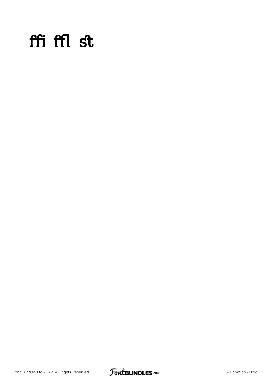#### ffi ffl st

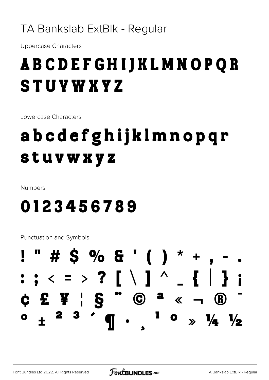#### TA Bankslab ExtBlk - Regular

**Uppercase Characters** 

### **ABCDEFGHIJKLMNOPQR STUVWXYZ**

Lowercase Characters

## abcdefghijklmnopqr stuvwxyz

Numbers

#### 0123456789

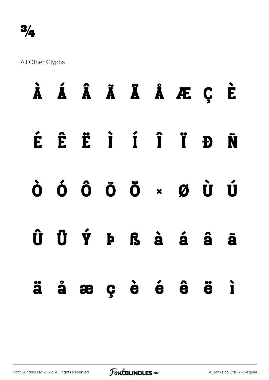|  |  |  | À Á Â Ã Ä Ä Å Æ Ç È                                                           |  |
|--|--|--|-------------------------------------------------------------------------------|--|
|  |  |  | É Ê Ë I Í Î Ï Đ Ñ                                                             |  |
|  |  |  | ò ó ô õ ö × ø Ù Ú                                                             |  |
|  |  |  | $\hat{U}$ $\hat{U}$ $\hat{Y}$ $P$ $S$ $\hat{a}$ $\hat{a}$ $\hat{a}$ $\hat{a}$ |  |
|  |  |  | ä å æ ç è é ê ë ì                                                             |  |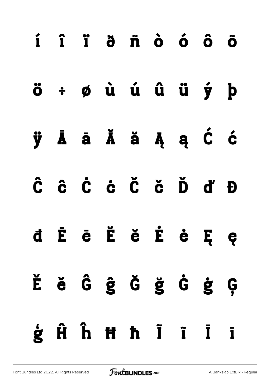|  | í î ï ð ñ ò ó ô õ |  |  |  |
|--|-------------------|--|--|--|
|  | ö÷øùúûüý þ        |  |  |  |
|  | ÿĀā Ăă ĄąĆć       |  |  |  |
|  | Ĉ ĉ Ċ ċ Č č Ď ď Đ |  |  |  |
|  | d Ē ē Ĕ ĕ Ė ė Ę ę |  |  |  |
|  | Ěě ĜĝĞ ğ Ġ ġ Ģ    |  |  |  |
|  | ģĤĥĦħĨĩĪī         |  |  |  |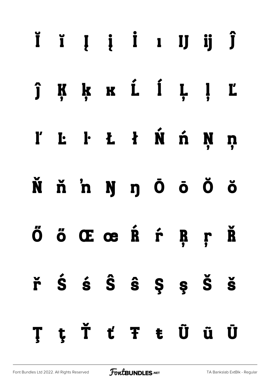## Ĭ ĭ Į į İ ı IJ ij Ĵ Ķķ k í Í Ļ ļ  $\hat{\mathbf{j}}$ Ľ  $E$   $E$   $E$   $i$   $\hat{N}$   $\hat{n}$ N ľ  $\mathbf n$ Ňň'nŊŋŌōŎŏ ÖÖŒœŔŕŖŗ Ř řŚśŜŜ\$ŞŠŠ **TtŤťŦtÜü** Ū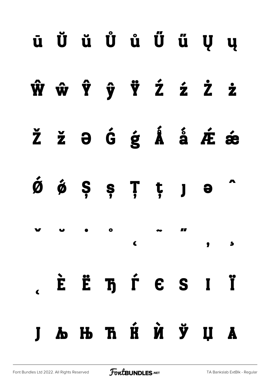|  |                                                                                                                                                               |  |  | Ј Љ Њ Ћ Ќ Ѝ Ў Џ А                                                                                                                                                            |  |
|--|---------------------------------------------------------------------------------------------------------------------------------------------------------------|--|--|------------------------------------------------------------------------------------------------------------------------------------------------------------------------------|--|
|  |                                                                                                                                                               |  |  | $\lambda$ . È Ë $\bar{\textbf{h}}$ $\hat{\textbf{r}}$ $\boldsymbol{\epsilon}$ S I Ï                                                                                          |  |
|  | $\mathbf{v}$ $\mathbf{v}$ $\bullet$ $\circ$ $\mathbf{v}$ $\mathbf{w}$ $\mathbf{u}$                                                                            |  |  | $\begin{array}{ccc} \begin{array}{ccc} \text{c} & \text{c} & \text{c} & \text{c} \end{array} & \text{c} & \text{c} & \text{c} & \text{c} & \text{c} \end{array} \end{array}$ |  |
|  | $\acute{\mathfrak{G}}$ $\acute{\mathfrak{G}}$ $\acute{\mathfrak{S}}$ $\acute{\mathfrak{S}}$ $\ddot{\mathfrak{F}}$ $\ddot{\mathfrak{f}}$ $\ddot{\mathfrak{g}}$ |  |  |                                                                                                                                                                              |  |
|  |                                                                                                                                                               |  |  | Ž ž $\theta$ Ĝ ģ Å å Æ æ                                                                                                                                                     |  |
|  |                                                                                                                                                               |  |  | ŴŵŶŷŸŹźŻż                                                                                                                                                                    |  |
|  |                                                                                                                                                               |  |  | ū Ŭ ŭ Ů ů Ű ű Ų ų                                                                                                                                                            |  |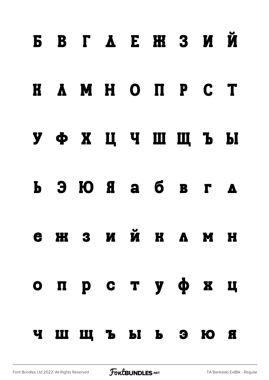# Б В Г Д Е Ж З И Й

#### К Л М Н О П Р С Т

#### У Ф Х Ц Ч Ш Щ Ъ Ы

# Ь Э Ю Я а б в г д

# е ж з и й к л м н

# о п р с т у ф х ц ч ш щ ъ ы ь э ю я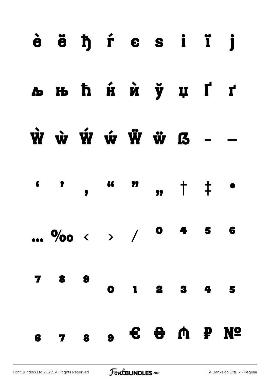#### èë h f e s i ï j **льћя́й ў џҐґ**  $\dot{W}$   $\dot{W}$   $\dot{W}$   $\dot{W}$   $\ddot{W}$   $I$ **66** — 99  $\blacklozenge$  $, +$   $+$  $\overline{\phantom{a}}$  $\bullet$  $\ddagger$ 6  $\bullet$ ...  $\frac{0}{00}$  < > / 5 8 9 7  $\mathbf{I}$  $\overline{\mathbf{4}}$  $\bullet$  $\overline{\mathbf{2}}$ 3  $\overline{\phantom{a}}$  $\bullet$   $\bullet$   $\bullet$   $\bullet$   $\bullet$   $\bullet$ **No**  $7<sub>8</sub>$ 6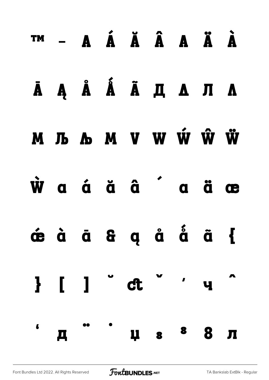## ™ − A Á Ă Â A Ä À ĀĄ Å Ã Ã Д А Л А М Љ Љ М V W Ŵ Ŵ Ѿ waá ă â a ä æ jöð ög ög ög  $\}$  [ ]  $ct$ <sup>ਂ</sup> ਪ੍ਰ in de  $\epsilon$  $\mathbf{\mathbf{\Pi}}$  $\overline{a}$ ца <sup>8</sup> 8 л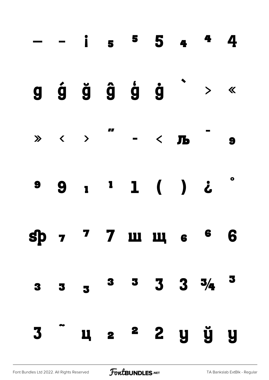|                         |                         |                         |                   |  | $- - i$ 5 5 4 4 4                                                                                                                                                                                                                                                                                                                                                                                                   |  |
|-------------------------|-------------------------|-------------------------|-------------------|--|---------------------------------------------------------------------------------------------------------------------------------------------------------------------------------------------------------------------------------------------------------------------------------------------------------------------------------------------------------------------------------------------------------------------|--|
|                         |                         |                         |                   |  | $g$ $\acute{g}$ $\ddot{g}$ $\acute{g}$ $\acute{g}$ $\ddot{g}$ $\rightarrow$ «                                                                                                                                                                                                                                                                                                                                       |  |
|                         |                         |                         |                   |  | $\mathbb{R} \times$ $\mathbb{R} \times \mathbb{R}$ $\mathbb{R} \times \mathbb{R}$ $\mathbb{R} \times \mathbb{R}$ $\mathbb{R} \times \mathbb{R}$ $\mathbb{R} \times \mathbb{R}$ $\mathbb{R} \times \mathbb{R}$ $\mathbb{R} \times \mathbb{R}$ $\mathbb{R} \times \mathbb{R}$ $\mathbb{R} \times \mathbb{R}$ $\mathbb{R} \times \mathbb{R}$ $\mathbb{R} \times \mathbb{R}$ $\mathbb{R} \times \mathbb{R}$ $\mathbb{R$ |  |
|                         |                         |                         | $9 9 1 1 1 ( ) 2$ |  |                                                                                                                                                                                                                                                                                                                                                                                                                     |  |
|                         |                         |                         |                   |  | sp 7 7 m m s 6 6                                                                                                                                                                                                                                                                                                                                                                                                    |  |
| $\overline{\mathbf{3}}$ | $\overline{\mathbf{3}}$ | $\overline{\mathbf{3}}$ |                   |  | $3 \quad 3 \quad 3 \quad 3 \quad 3/4 \quad 3$                                                                                                                                                                                                                                                                                                                                                                       |  |
| 3                       |                         |                         |                   |  | ц 2 <sup>2</sup> 2 у ў у                                                                                                                                                                                                                                                                                                                                                                                            |  |